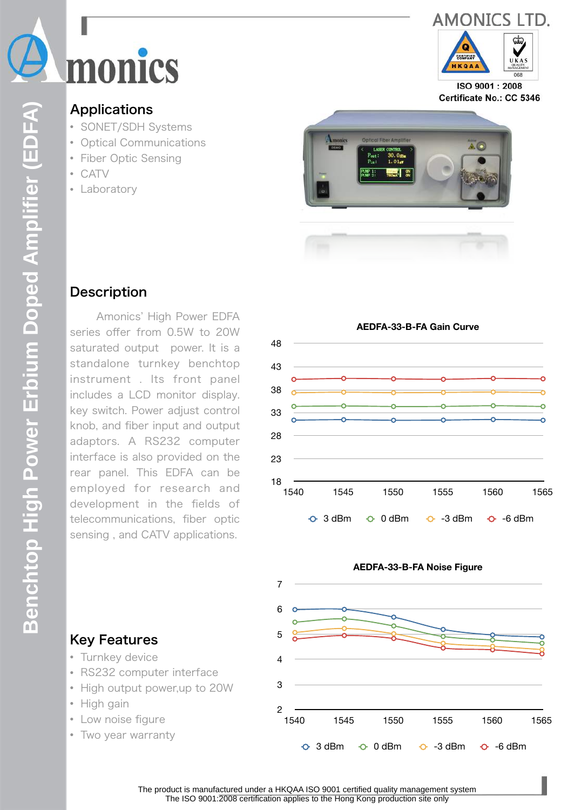



ISO 9001:2008 Certificate No.: CC 5346

## **Applications**

- SONET/SDH Systems
- Optical Communications
- Fiber Optic Sensing
- CATV
- Laboratory



### **Description**

**Benchtop High Power Erbium Doped Amplifier (EDFA)**

Benchtop High Power Erbium Doped Amplifier (EDFA)

 Amonics' High Power EDFA series offer from 0.5W to 20W saturated output power. It is a standalone turnkey benchtop instrument . Its front panel includes a LCD monitor display. key switch. Power adjust control knob, and fiber input and output adaptors. A RS232 computer interface is also provided on the rear panel. This EDFA can be employed for research and development in the fields of telecommunications, fiber optic sensing , and CATV applications.





# Key Features

- Turnkey device
- RS232 computer interface
- High output power,up to 20W
- High gain
- Low noise figure
- Two year warranty

The product is manufactured under a HKQAA ISO 9001 certified quality management system The ISO 9001:2008 certification applies to the Hong Kong production site only